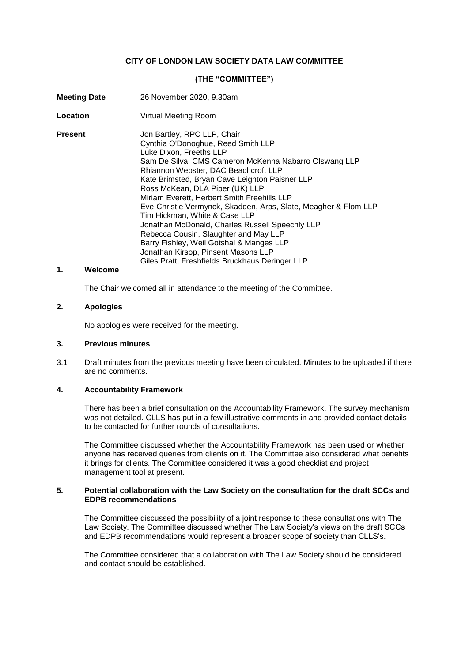## **CITY OF LONDON LAW SOCIETY DATA LAW COMMITTEE**

## **(THE "COMMITTEE")**

| <b>Meeting Date</b> | 26 November 2020, 9.30am                                                                                                                                                                                                                                                                                                                                                                                                                                                                                                                                                                                                                                                |
|---------------------|-------------------------------------------------------------------------------------------------------------------------------------------------------------------------------------------------------------------------------------------------------------------------------------------------------------------------------------------------------------------------------------------------------------------------------------------------------------------------------------------------------------------------------------------------------------------------------------------------------------------------------------------------------------------------|
| Location            | Virtual Meeting Room                                                                                                                                                                                                                                                                                                                                                                                                                                                                                                                                                                                                                                                    |
| <b>Present</b>      | Jon Bartley, RPC LLP, Chair<br>Cynthia O'Donoghue, Reed Smith LLP<br>Luke Dixon, Freeths LLP<br>Sam De Silva, CMS Cameron McKenna Nabarro Olswang LLP<br>Rhiannon Webster, DAC Beachcroft LLP<br>Kate Brimsted, Bryan Cave Leighton Paisner LLP<br>Ross McKean, DLA Piper (UK) LLP<br>Miriam Everett, Herbert Smith Freehills LLP<br>Eve-Christie Vermynck, Skadden, Arps, Slate, Meagher & Flom LLP<br>Tim Hickman, White & Case LLP<br>Jonathan McDonald, Charles Russell Speechly LLP<br>Rebecca Cousin, Slaughter and May LLP<br>Barry Fishley, Weil Gotshal & Manges LLP<br>Jonathan Kirsop, Pinsent Masons LLP<br>Giles Pratt, Freshfields Bruckhaus Deringer LLP |

## **1. Welcome**

The Chair welcomed all in attendance to the meeting of the Committee.

#### **2. Apologies**

No apologies were received for the meeting.

### **3. Previous minutes**

3.1 Draft minutes from the previous meeting have been circulated. Minutes to be uploaded if there are no comments.

#### **4. Accountability Framework**

There has been a brief consultation on the Accountability Framework. The survey mechanism was not detailed. CLLS has put in a few illustrative comments in and provided contact details to be contacted for further rounds of consultations.

The Committee discussed whether the Accountability Framework has been used or whether anyone has received queries from clients on it. The Committee also considered what benefits it brings for clients. The Committee considered it was a good checklist and project management tool at present.

#### **5. Potential collaboration with the Law Society on the consultation for the draft SCCs and EDPB recommendations**

The Committee discussed the possibility of a joint response to these consultations with The Law Society. The Committee discussed whether The Law Society's views on the draft SCCs and EDPB recommendations would represent a broader scope of society than CLLS's.

The Committee considered that a collaboration with The Law Society should be considered and contact should be established.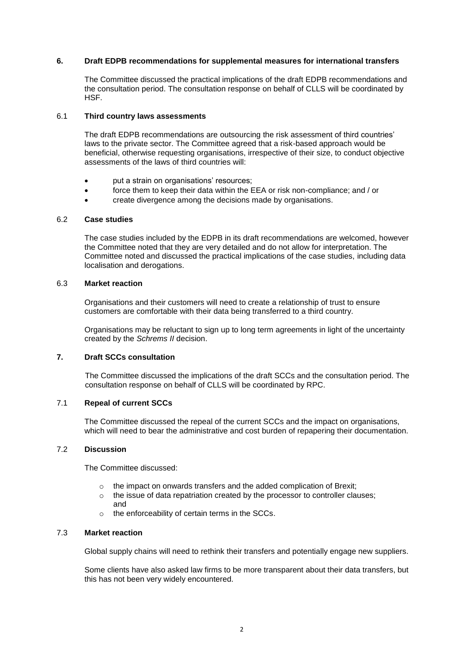## **6. Draft EDPB recommendations for supplemental measures for international transfers**

The Committee discussed the practical implications of the draft EDPB recommendations and the consultation period. The consultation response on behalf of CLLS will be coordinated by HSF.

### 6.1 **Third country laws assessments**

The draft EDPB recommendations are outsourcing the risk assessment of third countries' laws to the private sector. The Committee agreed that a risk-based approach would be beneficial, otherwise requesting organisations, irrespective of their size, to conduct objective assessments of the laws of third countries will:

- put a strain on organisations' resources;
- force them to keep their data within the EEA or risk non-compliance; and / or
- create divergence among the decisions made by organisations.

## 6.2 **Case studies**

The case studies included by the EDPB in its draft recommendations are welcomed, however the Committee noted that they are very detailed and do not allow for interpretation. The Committee noted and discussed the practical implications of the case studies, including data localisation and derogations.

### 6.3 **Market reaction**

Organisations and their customers will need to create a relationship of trust to ensure customers are comfortable with their data being transferred to a third country.

Organisations may be reluctant to sign up to long term agreements in light of the uncertainty created by the *Schrems II* decision.

# **7. Draft SCCs consultation**

The Committee discussed the implications of the draft SCCs and the consultation period. The consultation response on behalf of CLLS will be coordinated by RPC.

## 7.1 **Repeal of current SCCs**

The Committee discussed the repeal of the current SCCs and the impact on organisations, which will need to bear the administrative and cost burden of repapering their documentation.

## 7.2 **Discussion**

The Committee discussed:

- o the impact on onwards transfers and the added complication of Brexit;
- o the issue of data repatriation created by the processor to controller clauses; and
- o the enforceability of certain terms in the SCCs.

## 7.3 **Market reaction**

Global supply chains will need to rethink their transfers and potentially engage new suppliers.

Some clients have also asked law firms to be more transparent about their data transfers, but this has not been very widely encountered.